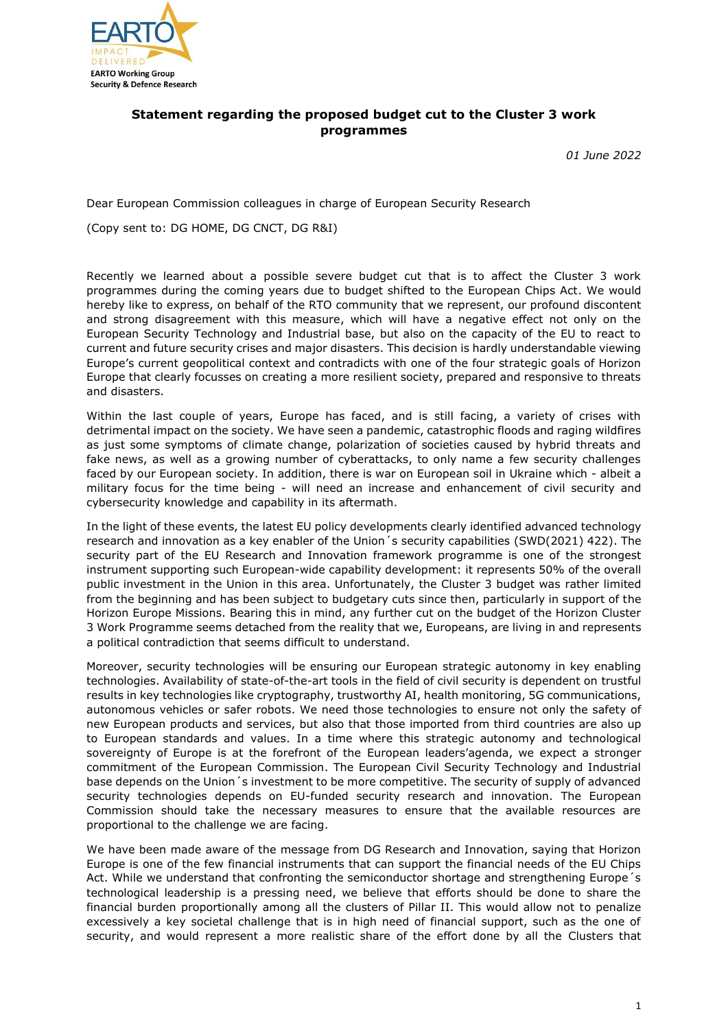

## **Statement regarding the proposed budget cut to the Cluster 3 work programmes**

*01 June 2022*

Dear European Commission colleagues in charge of European Security Research

(Copy sent to: DG HOME, DG CNCT, DG R&I)

Recently we learned about a possible severe budget cut that is to affect the Cluster 3 work programmes during the coming years due to budget shifted to the European Chips Act. We would hereby like to express, on behalf of the RTO community that we represent, our profound discontent and strong disagreement with this measure, which will have a negative effect not only on the European Security Technology and Industrial base, but also on the capacity of the EU to react to current and future security crises and major disasters. This decision is hardly understandable viewing Europe's current geopolitical context and contradicts with one of the four strategic goals of Horizon Europe that clearly focusses on creating a more resilient society, prepared and responsive to threats and disasters.

Within the last couple of years, Europe has faced, and is still facing, a variety of crises with detrimental impact on the society. We have seen a pandemic, catastrophic floods and raging wildfires as just some symptoms of climate change, polarization of societies caused by hybrid threats and fake news, as well as a growing number of cyberattacks, to only name a few security challenges faced by our European society. In addition, there is war on European soil in Ukraine which - albeit a military focus for the time being - will need an increase and enhancement of civil security and cybersecurity knowledge and capability in its aftermath.

In the light of these events, the latest EU policy developments clearly identified advanced technology research and innovation as a key enabler of the Union's security capabilities (SWD(2021) 422). The security part of the EU Research and Innovation framework programme is one of the strongest instrument supporting such European-wide capability development: it represents 50% of the overall public investment in the Union in this area. Unfortunately, the Cluster 3 budget was rather limited from the beginning and has been subject to budgetary cuts since then, particularly in support of the Horizon Europe Missions. Bearing this in mind, any further cut on the budget of the Horizon Cluster 3 Work Programme seems detached from the reality that we, Europeans, are living in and represents a political contradiction that seems difficult to understand.

Moreover, security technologies will be ensuring our European strategic autonomy in key enabling technologies. Availability of state-of-the-art tools in the field of civil security is dependent on trustful results in key technologies like cryptography, trustworthy AI, health monitoring, 5G communications, autonomous vehicles or safer robots. We need those technologies to ensure not only the safety of new European products and services, but also that those imported from third countries are also up to European standards and values. In a time where this strategic autonomy and technological sovereignty of Europe is at the forefront of the European leaders'agenda, we expect a stronger commitment of the European Commission. The European Civil Security Technology and Industrial base depends on the Union´s investment to be more competitive. The security of supply of advanced security technologies depends on EU-funded security research and innovation. The European Commission should take the necessary measures to ensure that the available resources are proportional to the challenge we are facing.

We have been made aware of the message from DG Research and Innovation, saying that Horizon Europe is one of the few financial instruments that can support the financial needs of the EU Chips Act. While we understand that confronting the semiconductor shortage and strengthening Europe's technological leadership is a pressing need, we believe that efforts should be done to share the financial burden proportionally among all the clusters of Pillar II. This would allow not to penalize excessively a key societal challenge that is in high need of financial support, such as the one of security, and would represent a more realistic share of the effort done by all the Clusters that